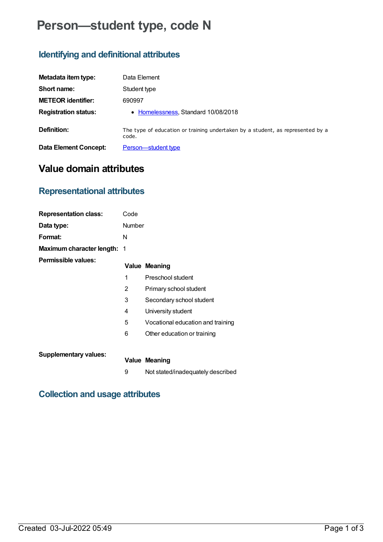# **Person—student type, code N**

## **Identifying and definitional attributes**

| Metadata item type:         | Data Element                                                                            |
|-----------------------------|-----------------------------------------------------------------------------------------|
| Short name:                 | Student type                                                                            |
| <b>METEOR identifier:</b>   | 690997                                                                                  |
| <b>Registration status:</b> | • Homelessness, Standard 10/08/2018                                                     |
| Definition:                 | The type of education or training undertaken by a student, as represented by a<br>code. |
| Data Element Concept:       | <b>Person</b> —student type                                                             |

## **Value domain attributes**

### **Representational attributes**

| <b>Representation class:</b>       | Code          |                                   |
|------------------------------------|---------------|-----------------------------------|
| Data type:                         | <b>Number</b> |                                   |
| Format:                            | N             |                                   |
| <b>Maximum character length: 1</b> |               |                                   |
| Permissible values:                |               | <b>Value Meaning</b>              |
|                                    | 1             | Preschool student                 |
|                                    | 2             | Primary school student            |
|                                    | 3             | Secondary school student          |
|                                    | 4             | University student                |
|                                    | 5             | Vocational education and training |
|                                    | 6             | Other education or training       |
| <b>Supplementary values:</b>       |               | Value Meaning                     |

9 Not stated/inadequately described

### **Collection and usage attributes**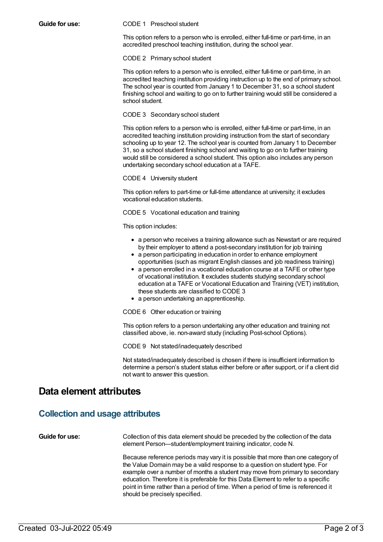#### **Guide for use:** CODE 1 Preschool student

This option refers to a person who is enrolled, either full-time or part-time, in an accredited preschool teaching institution, during the school year.

CODE 2 Primary school student

This option refers to a person who is enrolled, either full-time or part-time, in an accredited teaching institution providing instruction up to the end of primary school. The school year is counted from January 1 to December 31, so a school student finishing school and waiting to go on to further training would still be considered a school student.

### CODE 3 Secondary school student

This option refers to a person who is enrolled, either full-time or part-time, in an accredited teaching institution providing instruction from the start of secondary schooling up to year 12. The school year is counted from January 1 to December 31, so a school student finishing school and waiting to go on to further training would still be considered a school student. This option also includes any person undertaking secondary school education at a TAFE.

CODE 4 University student

This option refers to part-time or full-time attendance at university; it excludes vocational education students.

CODE 5 Vocational education and training

This option includes:

- a person who receives a training allowance such as Newstart or are required by their employer to attend a post-secondary institution for job training
- a person participating in education in order to enhance employment opportunities (such as migrant English classes and job readiness training)
- a person enrolled in a vocational education course at a TAFE or other type of vocational institution. It excludes students studying secondary school education at a TAFE or Vocational Education and Training (VET) institution, these students are classified to CODE 3
- a person undertaking an apprenticeship.

CODE 6 Other education or training

This option refers to a person undertaking any other education and training not classified above, ie. non-award study (including Post-school Options).

CODE 9 Not stated/inadequately described

Not stated/inadequately described is chosen if there is insufficient information to determine a person's student status either before or after support, or if a client did not want to answer this question.

### **Data element attributes**

### **Collection and usage attributes**

**Guide for use:** Collection of this data element should be preceded by the collection of the data element Person—student/employment training indicator, code N.

> Because reference periods may vary it is possible that more than one category of the Value Domain may be a valid response to a question on student type. For example over a number of months a student may move from primary to secondary education. Therefore it is preferable for this Data Element to refer to a specific point in time rather than a period of time. When a period of time is referenced it should be precisely specified.